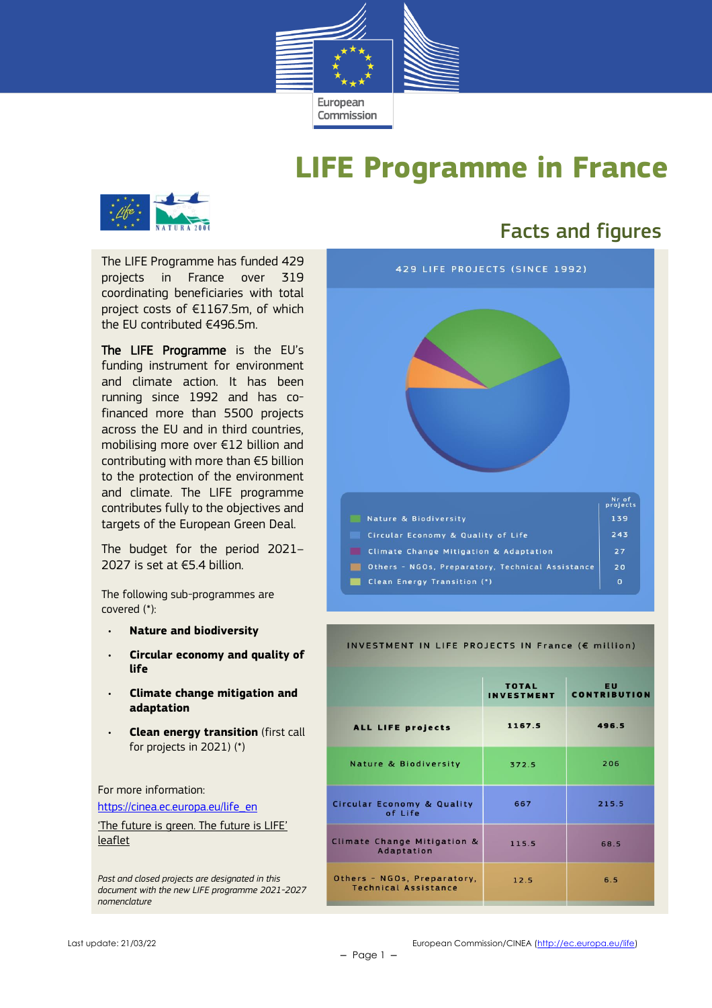

# **LIFE Programme in France**



## Facts and figures

The LIFE Programme has funded 429 projects in France over 319 coordinating beneficiaries with total project costs of €1167.5m, of which the EU contributed €496.5m.

The LIFE Programme is the EU's funding instrument for environment and climate action. It has been running since 1992 and has cofinanced more than 5500 projects across the EU and in third countries, mobilising more over €12 billion and contributing with more than €5 billion to the protection of the environment and climate. The LIFE programme contributes fully to the objectives and targets of the European Green Deal.

The budget for the period 2021– 2027 is set at €5.4 billion.

The following sub-programmes are covered (\*):

- **Nature and biodiversity**
- **Circular economy and quality of life**
- **Climate change mitigation and adaptation**
- **Clean energy transition** (first call for projects in 2021) (\*)

For more information:

[https://cinea.ec.europa.eu/life\\_en](https://cinea.ec.europa.eu/life_en)

['The future is green. The future is LIFE'](https://cinea.ec.europa.eu/publications/future-green-future-life-leaflet_en)  [leaflet](https://cinea.ec.europa.eu/publications/future-green-future-life-leaflet_en)

*Past and closed projects are designated in this document with the new LIFE programme 2021-2027 nomenclature*



#### INVESTMENT IN LIFE PROJECTS IN France (€ million)

|                                                            | <b>TOTAL</b><br><b>INVESTMENT</b> | EU<br><b>CONTRIBUTION</b> |
|------------------------------------------------------------|-----------------------------------|---------------------------|
| ALL LIFE projects                                          | 1167.5                            | 496.5                     |
| <b>Nature &amp; Biodiversity</b>                           | 372.5                             | 206                       |
| <b>Circular Economy &amp; Quality</b><br>of Life           | 667                               | 215.5                     |
| Climate Change Mitigation &<br>Adaptation                  | 115.5                             | 68.5                      |
| Others - NGOs, Preparatory,<br><b>Technical Assistance</b> | 12.5                              | 6.5                       |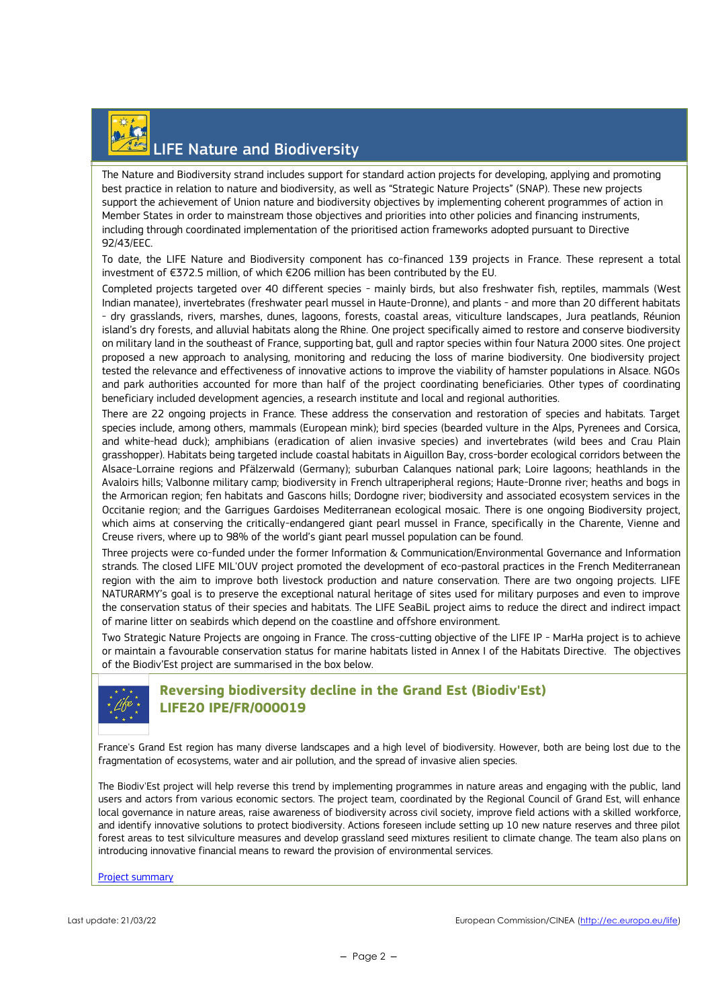

The Nature and Biodiversity strand includes support for standard action projects for developing, applying and promoting best practice in relation to nature and biodiversity, as well as "Strategic Nature Projects" (SNAP). These new projects support the achievement of Union nature and biodiversity objectives by implementing coherent programmes of action in Member States in order to mainstream those objectives and priorities into other policies and financing instruments, including through coordinated implementation of the prioritised action frameworks adopted pursuant to Directive 92/43/EEC.

To date, the LIFE Nature and Biodiversity component has co-financed 139 projects in France. These represent a total investment of €372.5 million, of which €206 million has been contributed by the EU.

Completed projects targeted over 40 different species - mainly birds, but also freshwater fish, reptiles, mammals (West Indian manatee), invertebrates (freshwater pearl mussel in Haute-Dronne), and plants - and more than 20 different habitats - dry grasslands, rivers, marshes, dunes, lagoons, forests, coastal areas, viticulture landscapes, Jura peatlands, Réunion island's dry forests, and alluvial habitats along the Rhine. One project specifically aimed to restore and conserve biodiversity on military land in the southeast of France, supporting bat, gull and raptor species within four Natura 2000 sites. One project proposed a new approach to analysing, monitoring and reducing the loss of marine biodiversity. One biodiversity project tested the relevance and effectiveness of innovative actions to improve the viability of hamster populations in Alsace. NGOs and park authorities accounted for more than half of the project coordinating beneficiaries. Other types of coordinating beneficiary included development agencies, a research institute and local and regional authorities.

There are 22 ongoing projects in France. These address the conservation and restoration of species and habitats. Target species include, among others, mammals (European mink); bird species (bearded vulture in the Alps, Pyrenees and Corsica, and white-head duck); amphibians (eradication of alien invasive species) and invertebrates (wild bees and Crau Plain grasshopper). Habitats being targeted include coastal habitats in Aiguillon Bay, cross-border ecological corridors between the Alsace-Lorraine regions and Pfälzerwald (Germany); suburban Calanques national park; Loire lagoons; heathlands in the Avaloirs hills; Valbonne military camp; biodiversity in French ultraperipheral regions; Haute-Dronne river; heaths and bogs in the Armorican region; fen habitats and Gascons hills; Dordogne river; biodiversity and associated ecosystem services in the Occitanie region; and the Garrigues Gardoises Mediterranean ecological mosaic. There is one ongoing Biodiversity project, which aims at conserving the critically-endangered giant pearl mussel in France, specifically in the Charente, Vienne and Creuse rivers, where up to 98% of the world's giant pearl mussel population can be found.

Three projects were co-funded under the former Information & Communication/Environmental Governance and Information strands. The closed LIFE MIL'OUV project promoted the development of eco-pastoral practices in the French Mediterranean region with the aim to improve both livestock production and nature conservation. There are two ongoing projects. LIFE NATURARMY's goal is to preserve the exceptional natural heritage of sites used for military purposes and even to improve the conservation status of their species and habitats. The LIFE SeaBiL project aims to reduce the direct and indirect impact of marine litter on seabirds which depend on the coastline and offshore environment.

Two Strategic Nature Projects are ongoing in France. The cross-cutting objective of the LIFE IP - MarHa project is to achieve or maintain a favourable conservation status for marine habitats listed in Annex I of the Habitats Directive. The objectives of the Biodiv'Est project are summarised in the box below.



#### **Reversing biodiversity decline in the Grand Est (Biodiv'Est) LIFE20 IPE/FR/000019**

France's Grand Est region has many diverse landscapes and a high level of biodiversity. However, both are being lost due to the fragmentation of ecosystems, water and air pollution, and the spread of invasive alien species.

The Biodiv'Est project will help reverse this trend by implementing programmes in nature areas and engaging with the public, land users and actors from various economic sectors. The project team, coordinated by the Regional Council of Grand Est, will enhance local governance in nature areas, raise awareness of biodiversity across civil society, improve field actions with a skilled workforce, and identify innovative solutions to protect biodiversity. Actions foreseen include setting up 10 new nature reserves and three pilot forest areas to test silviculture measures and develop grassland seed mixtures resilient to climate change. The team also plans on introducing innovative financial means to reward the provision of environmental services.

[Project summary](https://webgate.ec.europa.eu/life/publicWebsite/project/details/5810)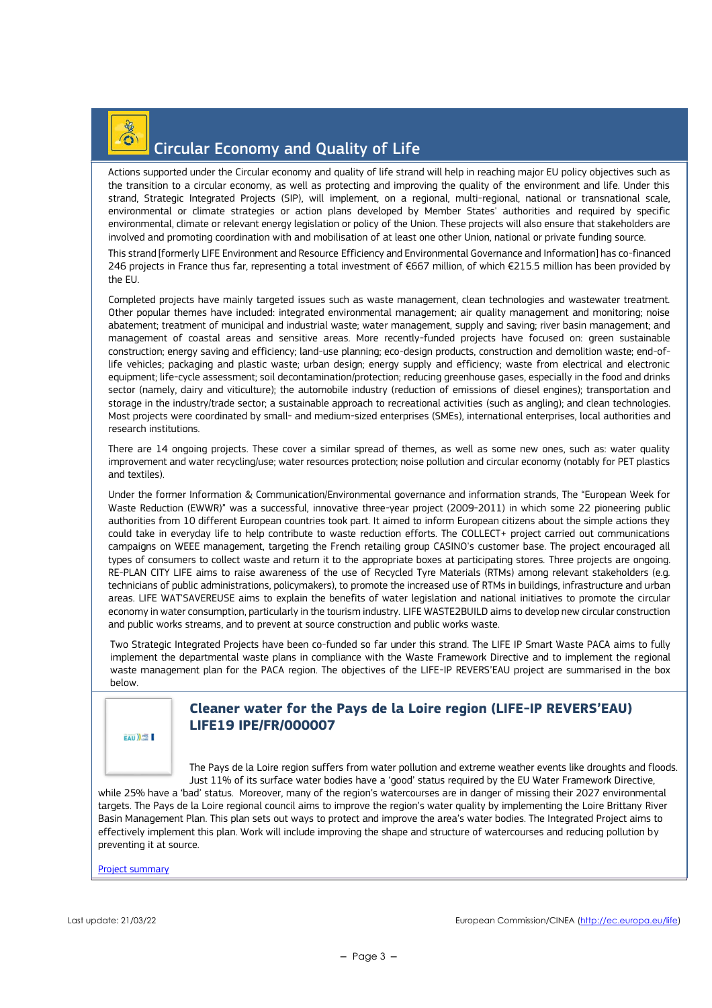### $O$   $\frac{1}{2}$ Circular Economy and Quality of Life

Actions supported under the Circular economy and quality of life strand will help in reaching major EU policy objectives such as the transition to a circular economy, as well as protecting and improving the quality of the environment and life. Under this strand, Strategic Integrated Projects (SIP), will implement, on a regional, multi-regional, national or transnational scale, environmental or climate strategies or action plans developed by Member States' authorities and required by specific environmental, climate or relevant energy legislation or policy of the Union. These projects will also ensure that stakeholders are involved and promoting coordination with and mobilisation of at least one other Union, national or private funding source.

This strand [formerly LIFE Environment and Resource Efficiency and Environmental Governance and Information] has co-financed 246 projects in France thus far, representing a total investment of €667 million, of which €215.5 million has been provided by the EU.

Completed projects have mainly targeted issues such as waste management, clean technologies and wastewater treatment. Other popular themes have included: integrated environmental management; air quality management and monitoring; noise abatement; treatment of municipal and industrial waste; water management, supply and saving; river basin management; and management of coastal areas and sensitive areas. More recently-funded projects have focused on: green sustainable construction; energy saving and efficiency; land-use planning; eco-design products, construction and demolition waste; end-oflife vehicles; packaging and plastic waste; urban design; energy supply and efficiency; waste from electrical and electronic equipment; life-cycle assessment; soil decontamination/protection; reducing greenhouse gases, especially in the food and drinks sector (namely, dairy and viticulture); the automobile industry (reduction of emissions of diesel engines); transportation and storage in the industry/trade sector; a sustainable approach to recreational activities (such as angling); and clean technologies. Most projects were coordinated by small- and medium-sized enterprises (SMEs), international enterprises, local authorities and research institutions.

There are 14 ongoing projects. These cover a similar spread of themes, as well as some new ones, such as: water quality improvement and water recycling/use; water resources protection; noise pollution and circular economy (notably for PET plastics and textiles).

Under the former Information & Communication/Environmental governance and information strands, The "European Week for Waste Reduction (EWWR)" was a successful, innovative three-year project (2009-2011) in which some 22 pioneering public authorities from 10 different European countries took part. It aimed to inform European citizens about the simple actions they could take in everyday life to help contribute to waste reduction efforts. The COLLECT+ project carried out communications campaigns on WEEE management, targeting the French retailing group CASINO's customer base. The project encouraged all types of consumers to collect waste and return it to the appropriate boxes at participating stores. Three projects are ongoing. RE-PLAN CITY LIFE aims to raise awareness of the use of Recycled Tyre Materials (RTMs) among relevant stakeholders (e.g. technicians of public administrations, policymakers), to promote the increased use of RTMs in buildings, infrastructure and urban areas. LIFE WAT'SAVEREUSE aims to explain the benefits of water legislation and national initiatives to promote the circular economy in water consumption, particularly in the tourism industry. LIFE WASTE2BUILD aims to develop new circular construction and public works streams, and to prevent at source construction and public works waste.

Two Strategic Integrated Projects have been co-funded so far under this strand. The LIFE IP Smart Waste PACA aims to fully implement the departmental waste plans in compliance with the Waste Framework Directive and to implement the regional waste management plan for the PACA region. The objectives of the LIFE-IP REVERS'EAU project are summarised in the box below.

EAU)

#### **Cleaner water for the Pays de la Loire region (LIFE-IP REVERS'EAU) LIFE19 IPE/FR/000007**

The Pays de la Loire region suffers from water pollution and extreme weather events like droughts and floods. Just 11% of its surface water bodies have a 'good' status required by the EU Water Framework Directive,

while 25% have a 'bad' status. Moreover, many of the region's watercourses are in danger of missing their 2027 environmental targets. The Pays de la Loire regional council aims to improve the region's water quality by implementing the Loire Brittany River Basin Management Plan. This plan sets out ways to protect and improve the area's water bodies. The Integrated Project aims to effectively implement this plan. Work will include improving the shape and structure of watercourses and reducing pollution by preventing it at source.

[Project summary](https://webgate.ec.europa.eu/life/publicWebsite/project/details/5428)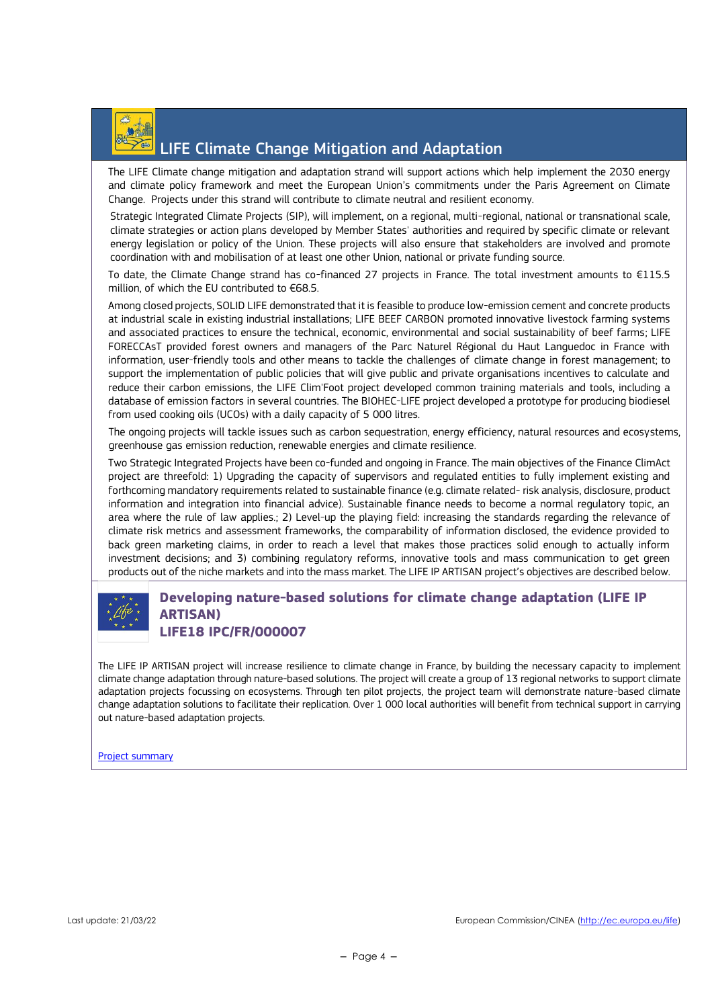

### LIFE Climate Change Mitigation and Adaptation

The LIFE Climate change mitigation and adaptation strand will support actions which help implement the 2030 energy and climate policy framework and meet the European Union's commitments under the Paris Agreement on Climate Change. Projects under this strand will contribute to climate neutral and resilient economy.

Strategic Integrated Climate Projects (SIP), will implement, on a regional, multi-regional, national or transnational scale, climate strategies or action plans developed by Member States' authorities and required by specific climate or relevant energy legislation or policy of the Union. These projects will also ensure that stakeholders are involved and promote coordination with and mobilisation of at least one other Union, national or private funding source.

To date, the Climate Change strand has co-financed 27 projects in France. The total investment amounts to €115.5 million, of which the EU contributed to €68.5.

Among closed projects, SOLID LIFE demonstrated that it is feasible to produce low-emission cement and concrete products at industrial scale in existing industrial installations; LIFE BEEF CARBON promoted innovative livestock farming systems and associated practices to ensure the technical, economic, environmental and social sustainability of beef farms; LIFE FORECCAsT provided forest owners and managers of the Parc Naturel Régional du Haut Languedoc in France with information, user-friendly tools and other means to tackle the challenges of climate change in forest management; to support the implementation of public policies that will give public and private organisations incentives to calculate and reduce their carbon emissions, the LIFE Clim'Foot project developed common training materials and tools, including a database of emission factors in several countries. The BIOHEC-LIFE project developed a prototype for producing biodiesel from used cooking oils (UCOs) with a daily capacity of 5 000 litres.

The ongoing projects will tackle issues such as carbon sequestration, energy efficiency, natural resources and ecosystems, greenhouse gas emission reduction, renewable energies and climate resilience.

Two Strategic Integrated Projects have been co-funded and ongoing in France. The main objectives of the Finance ClimAct project are threefold: 1) Upgrading the capacity of supervisors and regulated entities to fully implement existing and forthcoming mandatory requirements related to sustainable finance (e.g. climate related- risk analysis, disclosure, product information and integration into financial advice). Sustainable finance needs to become a normal regulatory topic, an area where the rule of law applies.; 2) Level-up the playing field: increasing the standards regarding the relevance of climate risk metrics and assessment frameworks, the comparability of information disclosed, the evidence provided to back green marketing claims, in order to reach a level that makes those practices solid enough to actually inform investment decisions; and 3) combining regulatory reforms, innovative tools and mass communication to get green products out of the niche markets and into the mass market. The LIFE IP ARTISAN project's objectives are described below.



#### **Developing nature-based solutions for climate change adaptation (LIFE IP ARTISAN) LIFE18 IPC/FR/000007**

The LIFE IP ARTISAN project will increase resilience to climate change in France, by building the necessary capacity to implement climate change adaptation through nature-based solutions. The project will create a group of 13 regional networks to support climate adaptation projects focussing on ecosystems. Through ten pilot projects, the project team will demonstrate nature-based climate change adaptation solutions to facilitate their replication. Over 1 000 local authorities will benefit from technical support in carrying out nature-based adaptation projects.

[Project summary](https://webgate.ec.europa.eu/life/publicWebsite/project/details/5188)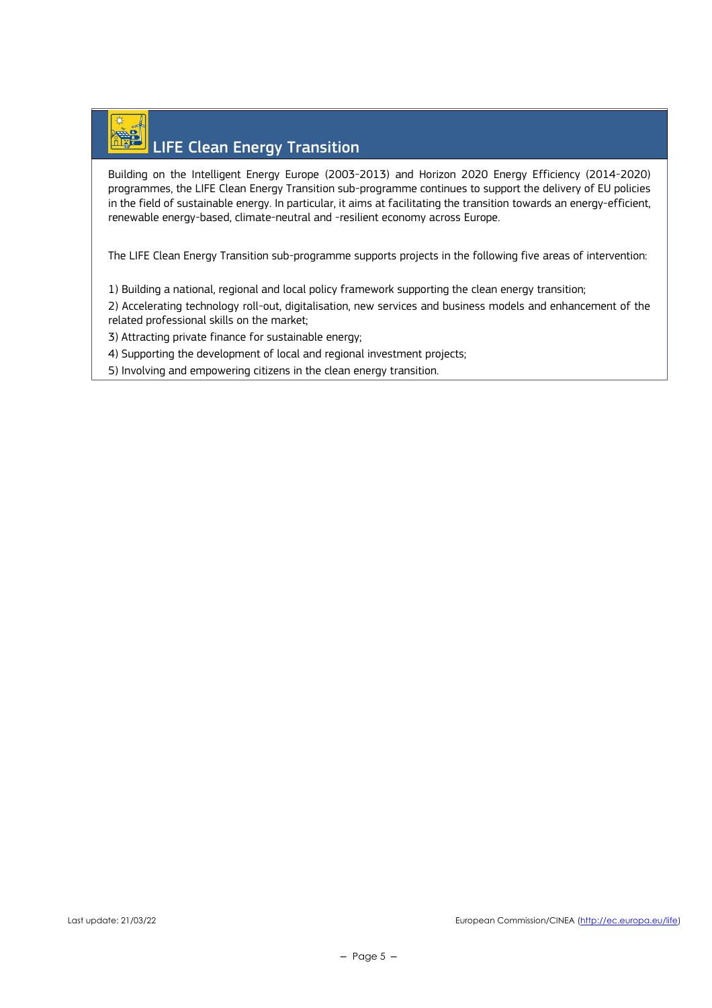# LIFE Clean Energy Transition

Building on the Intelligent Energy Europe (2003-2013) and Horizon 2020 Energy Efficiency (2014-2020) programmes, the LIFE Clean Energy Transition sub-programme continues to support the delivery of EU policies in the field of sustainable energy. In particular, it aims at facilitating the transition towards an energy-efficient, renewable energy-based, climate-neutral and -resilient economy across Europe.

The LIFE Clean Energy Transition sub-programme supports projects in the following five areas of intervention:

1) Building a national, regional and local policy framework supporting the clean energy transition;

2) Accelerating technology roll-out, digitalisation, new services and business models and enhancement of the related professional skills on the market;

3) Attracting private finance for sustainable energy;

4) Supporting the development of local and regional investment projects;

5) Involving and empowering citizens in the clean energy transition.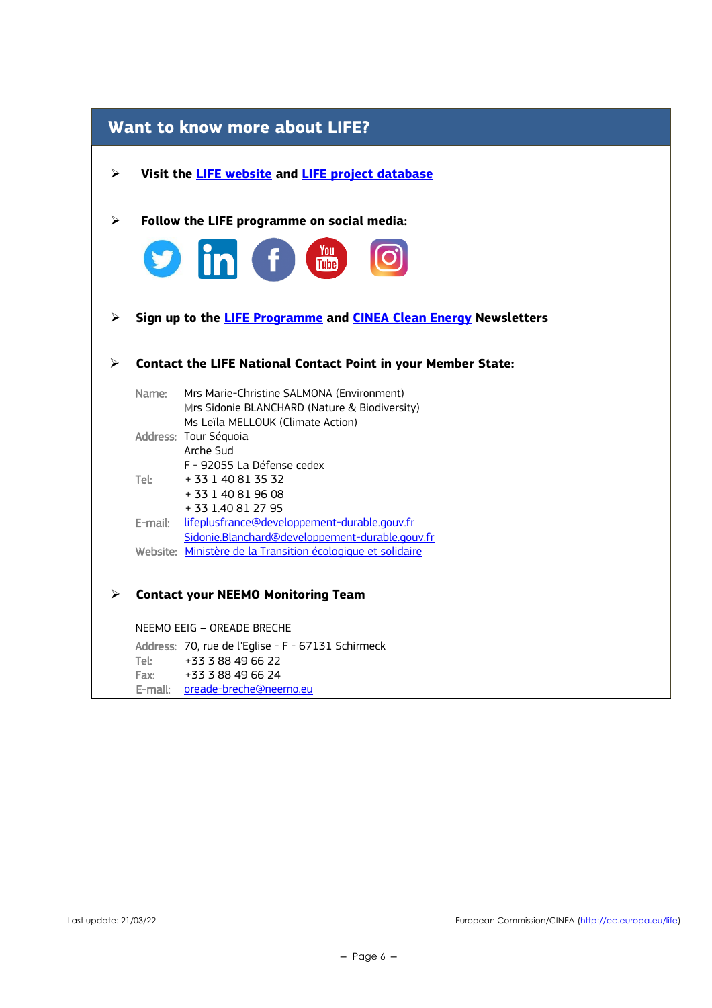| <b>Want to know more about LIFE?</b> |                                                                                                                                 |  |  |  |
|--------------------------------------|---------------------------------------------------------------------------------------------------------------------------------|--|--|--|
| ➤                                    | Visit the <b>LIFE</b> website and <b>LIFE</b> project database                                                                  |  |  |  |
| ➤                                    | Follow the LIFE programme on social media:                                                                                      |  |  |  |
| V                                    | <b>in</b> f to                                                                                                                  |  |  |  |
| ➤                                    | Sign up to the LIFE Programme and CINEA Clean Energy Newsletters                                                                |  |  |  |
|                                      | <b>Contact the LIFE National Contact Point in your Member State:</b>                                                            |  |  |  |
| Name:                                | Mrs Marie-Christine SALMONA (Environment)<br>Mrs Sidonie BLANCHARD (Nature & Biodiversity)<br>Ms Leïla MELLOUK (Climate Action) |  |  |  |
|                                      | Address: Tour Séquoia<br>Arche Sud<br>F - 92055 La Défense cedex                                                                |  |  |  |
| Tel:                                 | + 33 1 40 81 35 32<br>+ 33 1 40 81 96 08                                                                                        |  |  |  |
|                                      | + 33 1.40 81 27 95<br>E-mail: lifeplusfrance@developpement-durable.gouv.fr<br>Sidonie.Blanchard@developpement-durable.gouv.fr   |  |  |  |
|                                      | Website: Ministère de la Transition écologique et solidaire                                                                     |  |  |  |
| ⋗                                    | <b>Contact your NEEMO Monitoring Team</b>                                                                                       |  |  |  |
|                                      | NEEMO EEIG - OREADE BRECHE                                                                                                      |  |  |  |
| Tel:                                 | Address: 70, rue de l'Eglise - F - 67131 Schirmeck<br>+33 3 88 49 66 22                                                         |  |  |  |
| Fax:                                 | +33 3 88 49 66 24<br>E-mail: oreade-breche@neemo.eu                                                                             |  |  |  |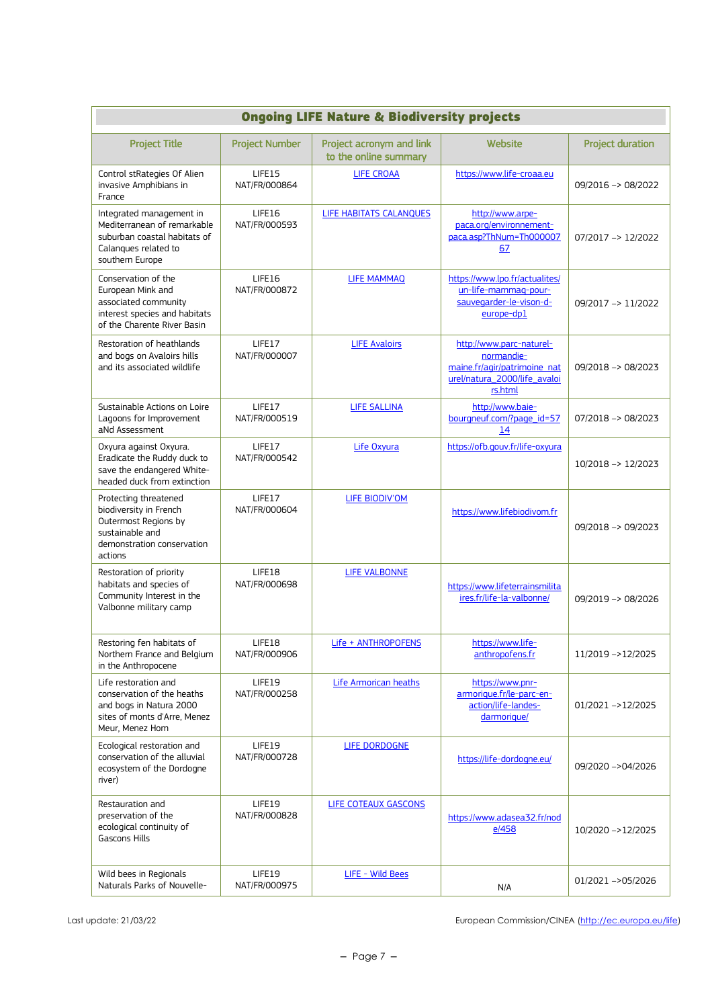| <b>Ongoing LIFE Nature &amp; Biodiversity projects</b>                                                                              |                                 |                                                   |                                                                                                                   |                         |
|-------------------------------------------------------------------------------------------------------------------------------------|---------------------------------|---------------------------------------------------|-------------------------------------------------------------------------------------------------------------------|-------------------------|
| <b>Project Title</b>                                                                                                                | <b>Project Number</b>           | Project acronym and link<br>to the online summary | Website                                                                                                           | <b>Project duration</b> |
| Control stRategies Of Alien<br>invasive Amphibians in<br>France                                                                     | <b>I IFF15</b><br>NAT/FR/000864 | <b>LIFE CROAA</b>                                 | https://www.life-croaa.eu                                                                                         | 09/2016 -> 08/2022      |
| Integrated management in<br>Mediterranean of remarkable<br>suburban coastal habitats of<br>Calanques related to<br>southern Europe  | LIFE16<br>NAT/FR/000593         | LIFE HABITATS CALANQUES                           | http://www.arpe-<br>paca.org/environnement-<br>paca.asp?ThNum=Th000007<br>67                                      | 07/2017 -> 12/2022      |
| Conservation of the<br>European Mink and<br>associated community<br>interest species and habitats<br>of the Charente River Basin    | LIFE16<br>NAT/FR/000872         | <b>LIFE MAMMAQ</b>                                | https://www.lpo.fr/actualites/<br>un-life-mammag-pour-<br>sauvegarder-le-vison-d-<br>europe-dp1                   | 09/2017 -> 11/2022      |
| Restoration of heathlands<br>and bogs on Avaloirs hills<br>and its associated wildlife                                              | LIFE17<br>NAT/FR/000007         | <b>LIFE Avaloirs</b>                              | http://www.parc-naturel-<br>normandie-<br>maine.fr/agir/patrimoine_nat<br>urel/natura_2000/life_avaloi<br>rs.html | 09/2018 -> 08/2023      |
| Sustainable Actions on Loire<br>Lagoons for Improvement<br>aNd Assessment                                                           | LIFE17<br>NAT/FR/000519         | <b>LIFE SALLINA</b>                               | http://www.baie-<br>bourgneuf.com/?page_id=57<br>14                                                               | $07/2018 - 08/2023$     |
| Oxyura against Oxyura.<br>Eradicate the Ruddy duck to<br>save the endangered White-<br>headed duck from extinction                  | LIFE17<br>NAT/FR/000542         | Life Oxyura                                       | https://ofb.gouv.fr/life-oxyura                                                                                   | 10/2018 -> 12/2023      |
| Protecting threatened<br>biodiversity in French<br>Outermost Regions by<br>sustainable and<br>demonstration conservation<br>actions | LIFE17<br>NAT/FR/000604         | <b>LIFE BIODIV'OM</b>                             | https://www.lifebiodivom.fr                                                                                       | 09/2018 -> 09/2023      |
| Restoration of priority<br>habitats and species of<br>Community Interest in the<br>Valbonne military camp                           | LIFE18<br>NAT/FR/000698         | <b>LIFE VALBONNE</b>                              | https://www.lifeterrainsmilita<br>ires.fr/life-la-valbonne/                                                       | 09/2019 -> 08/2026      |
| Restoring fen habitats of<br>Northern France and Belgium<br>in the Anthropocene                                                     | LIFE18<br>NAT/FR/000906         | Life + ANTHROPOFENS                               | https://www.life-<br>anthropofens.fr                                                                              | 11/2019 ->12/2025       |
| Life restoration and<br>conservation of the heaths<br>and bogs in Natura 2000<br>sites of monts d'Arre, Menez<br>Meur, Menez Hom    | LIFE19<br>NAT/FR/000258         | Life Armorican heaths                             | https://www.pnr-<br>armorique.fr/le-parc-en-<br>action/life-landes-<br>darmorique/                                | 01/2021 ->12/2025       |
| Ecological restoration and<br>conservation of the alluvial<br>ecosystem of the Dordogne<br>river)                                   | LIFE19<br>NAT/FR/000728         | LIFE DORDOGNE                                     | https://life-dordogne.eu/                                                                                         | 09/2020 ->04/2026       |
| Restauration and<br>preservation of the<br>ecological continuity of<br><b>Gascons Hills</b>                                         | LIFE19<br>NAT/FR/000828         | LIFE COTEAUX GASCONS                              | https://www.adasea32.fr/nod<br>e/458                                                                              | 10/2020 ->12/2025       |
| Wild bees in Regionals<br>Naturals Parks of Nouvelle-                                                                               | LIFE19<br>NAT/FR/000975         | LIFE - Wild Bees                                  | N/A                                                                                                               | 01/2021 ->05/2026       |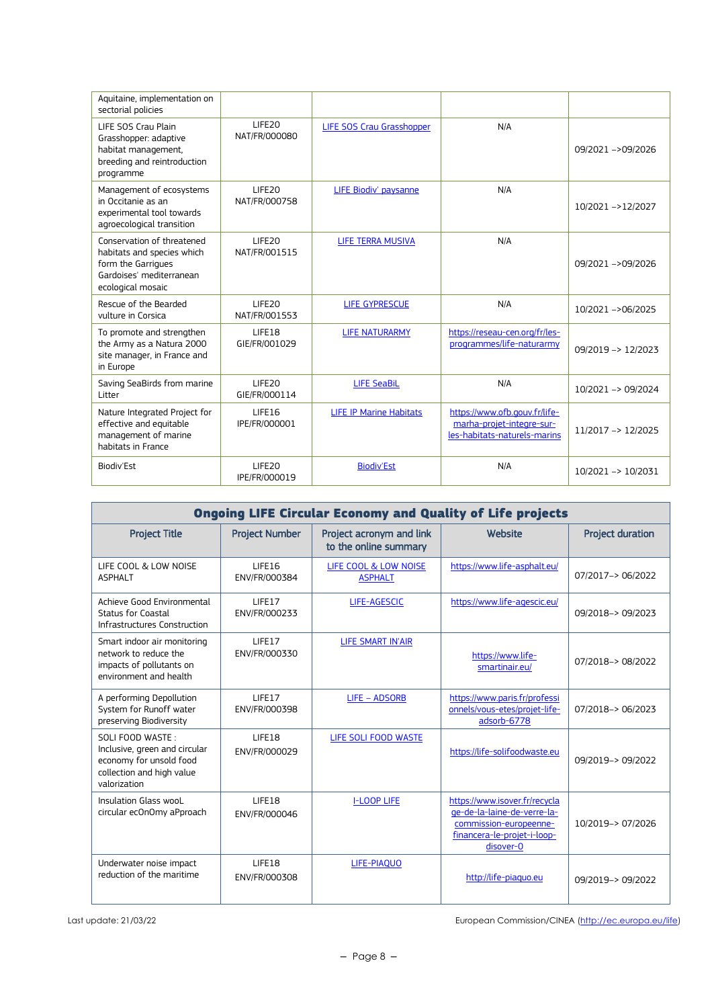| Aquitaine, implementation on<br>sectorial policies                                                                              |                                     |                                |                                                                                            |                               |
|---------------------------------------------------------------------------------------------------------------------------------|-------------------------------------|--------------------------------|--------------------------------------------------------------------------------------------|-------------------------------|
| LIFE SOS Crau Plain<br>Grasshopper: adaptive<br>habitat management,<br>breeding and reintroduction<br>programme                 | LIFE20<br>NAT/FR/000080             | LIFE SOS Crau Grasshopper      | N/A                                                                                        | 09/2021 ->09/2026             |
| Management of ecosystems<br>in Occitanie as an<br>experimental tool towards<br>agroecological transition                        | LIFE <sub>20</sub><br>NAT/FR/000758 | LIFE Biodiv' paysanne          | N/A                                                                                        | 10/2021 ->12/2027             |
| Conservation of threatened<br>habitats and species which<br>form the Garrigues<br>Gardoises' mediterranean<br>ecological mosaic | LIFE20<br>NAT/FR/001515             | LIFE TERRA MUSIVA              | N/A                                                                                        | 09/2021 ->09/2026             |
| Rescue of the Bearded<br>vulture in Corsica                                                                                     | LIFE20<br>NAT/FR/001553             | LIFE GYPRESCUE                 | N/A                                                                                        | 10/2021 ->06/2025             |
| To promote and strengthen<br>the Army as a Natura 2000<br>site manager, in France and<br>in Europe                              | LIFE18<br>GIE/FR/001029             | <b>LIFE NATURARMY</b>          | https://reseau-cen.org/fr/les-<br>programmes/life-naturarmy                                | 09/2019 -> 12/2023            |
| Saving SeaBirds from marine<br>Litter                                                                                           | LIFE20<br>GIE/FR/000114             | <b>LIFE SeaBiL</b>             | N/A                                                                                        | 10/2021 -> 09/2024            |
| Nature Integrated Project for<br>effective and equitable<br>management of marine<br>habitats in France                          | LIFE16<br>IPE/FR/000001             | <b>LIFE IP Marine Habitats</b> | https://www.ofb.gouv.fr/life-<br>marha-projet-integre-sur-<br>les-habitats-naturels-marins | 11/2017 -> 12/2025            |
| Biodiv'Est                                                                                                                      | LIFE20<br>IPE/FR/000019             | <b>Biodiv'Est</b>              | N/A                                                                                        | $10/2021 \rightarrow 10/2031$ |

| <b>Ongoing LIFE Circular Economy and Quality of Life projects</b>                                                         |                         |                                                   |                                                                                                                                    |                         |
|---------------------------------------------------------------------------------------------------------------------------|-------------------------|---------------------------------------------------|------------------------------------------------------------------------------------------------------------------------------------|-------------------------|
| <b>Project Title</b>                                                                                                      | <b>Project Number</b>   | Project acronym and link<br>to the online summary | Website                                                                                                                            | <b>Project duration</b> |
| LIFE COOL & LOW NOISE<br><b>ASPHALT</b>                                                                                   | LIFE16<br>ENV/FR/000384 | LIFE COOL & LOW NOISE<br><b>ASPHALT</b>           | https://www.life-asphalt.eu/                                                                                                       | 07/2017-> 06/2022       |
| Achieve Good Environmental<br><b>Status for Coastal</b><br>Infrastructures Construction                                   | LIFE17<br>ENV/FR/000233 | LIFE-AGESCIC                                      | https://www.life-agescic.eu/                                                                                                       | 09/2018-> 09/2023       |
| Smart indoor air monitoring<br>network to reduce the<br>impacts of pollutants on<br>environment and health                | LIFE17<br>ENV/FR/000330 | <b>LIFE SMART IN'AIR</b>                          | https://www.life-<br>smartinair.eu/                                                                                                | 07/2018-> 08/2022       |
| A performing Depollution<br>System for Runoff water<br>preserving Biodiversity                                            | LIFF17<br>ENV/FR/000398 | <b>LIFE - ADSORB</b>                              | https://www.paris.fr/professi<br>onnels/vous-etes/projet-life-<br>adsorb-6778                                                      | 07/2018-> 06/2023       |
| SOLI FOOD WASTE:<br>Inclusive, green and circular<br>economy for unsold food<br>collection and high value<br>valorization | LIFE18<br>ENV/FR/000029 | LIFE SOLI FOOD WASTE                              | https://life-solifoodwaste.eu                                                                                                      | 09/2019-> 09/2022       |
| Insulation Glass wooL<br>circular ecOnOmy aPproach                                                                        | LIFE18<br>ENV/FR/000046 | <b>I-LOOP LIFE</b>                                | https://www.isover.fr/recycla<br>ge-de-la-laine-de-verre-la-<br>commission-europeenne-<br>financera-le-projet-i-loop-<br>disover-0 | 10/2019-> 07/2026       |
| Underwater noise impact<br>reduction of the maritime                                                                      | LIFE18<br>ENV/FR/000308 | LIFE-PIAQUO                                       | http://life-piaguo.eu                                                                                                              | 09/2019-> 09/2022       |

Last update: 21/03/22 **European Commission/CINEA** [\(http://ec.europa.eu/life\)](http://ec.europa.eu/life)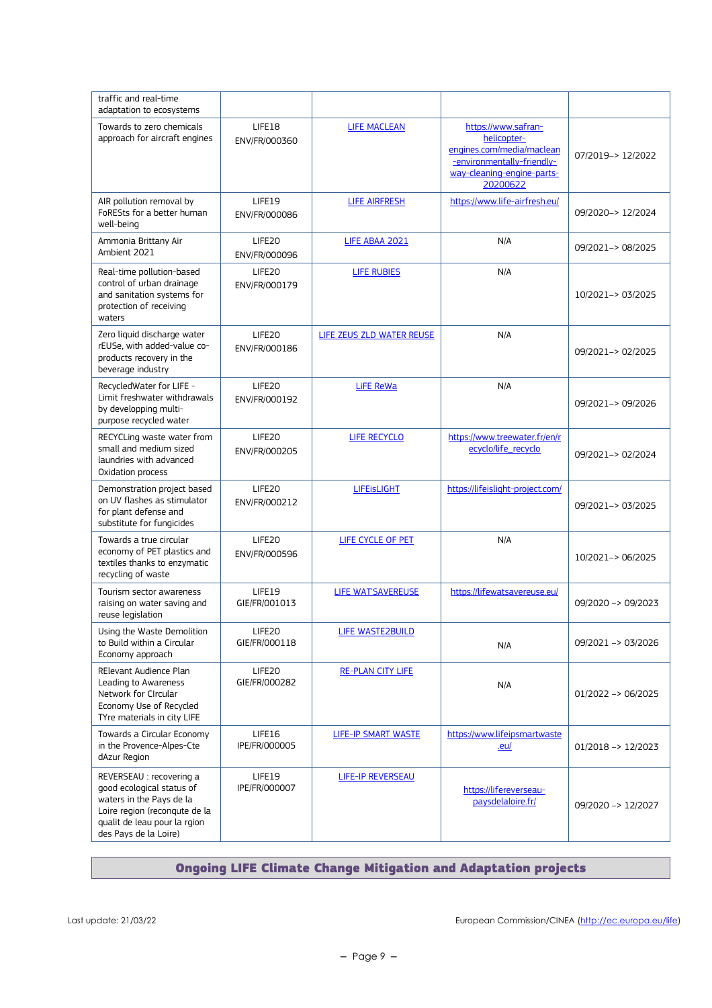| traffic and real-time<br>adaptation to ecosystems                                                                                                                           |                                     |                           |                                                                                                                                         |                               |
|-----------------------------------------------------------------------------------------------------------------------------------------------------------------------------|-------------------------------------|---------------------------|-----------------------------------------------------------------------------------------------------------------------------------------|-------------------------------|
| Towards to zero chemicals<br>approach for aircraft engines                                                                                                                  | LIFE18<br>ENV/FR/000360             | <b>LIFE MACLEAN</b>       | https://www.safran-<br>helicopter-<br>engines.com/media/maclean<br>-environmentally-friendly-<br>way-cleaning-engine-parts-<br>20200622 | 07/2019-> 12/2022             |
| AIR pollution removal by<br>FoRESts for a better human<br>well-being                                                                                                        | LIFE19<br>ENV/FR/000086             | <b>LIFE AIRFRESH</b>      | https://www.life-airfresh.eu/                                                                                                           | 09/2020-> 12/2024             |
| Ammonia Brittany Air<br>Ambient 2021                                                                                                                                        | LIFE20<br>ENV/FR/000096             | LIFE ABAA 2021            | N/A                                                                                                                                     | 09/2021 -> 08/2025            |
| Real-time pollution-based<br>control of urban drainage<br>and sanitation systems for<br>protection of receiving<br>waters                                                   | LIFE20<br>ENV/FR/000179             | <b>LIFE RUBIES</b>        | N/A                                                                                                                                     | 10/2021-> 03/2025             |
| Zero liquid discharge water<br>rEUSe, with added-value co-<br>products recovery in the<br>beverage industry                                                                 | LIFE20<br>ENV/FR/000186             | LIFE ZEUS ZLD WATER REUSE | N/A                                                                                                                                     | 09/2021 -> 02/2025            |
| RecycledWater for LIFE -<br>Limit freshwater withdrawals<br>by developping multi-<br>purpose recycled water                                                                 | LIFE20<br>ENV/FR/000192             | <b>LiFE ReWa</b>          | N/A                                                                                                                                     | 09/2021-> 09/2026             |
| RECYCLing waste water from<br>small and medium sized<br>laundries with advanced<br>Oxidation process                                                                        | LIFE20<br>ENV/FR/000205             | LIFE RECYCLO              | https://www.treewater.fr/en/r<br>ecyclo/life_recyclo                                                                                    | 09/2021-> 02/2024             |
| Demonstration project based<br>on UV flashes as stimulator<br>for plant defense and<br>substitute for fungicides                                                            | LIFE20<br>ENV/FR/000212             | <b>LIFEISLIGHT</b>        | https://lifeislight-project.com/                                                                                                        | 09/2021-> 03/2025             |
| Towards a true circular<br>economy of PET plastics and<br>textiles thanks to enzymatic<br>recycling of waste                                                                | LIFE <sub>20</sub><br>ENV/FR/000596 | LIFE CYCLE OF PET         | N/A                                                                                                                                     | 10/2021-> 06/2025             |
| Tourism sector awareness<br>raising on water saving and<br>reuse legislation                                                                                                | LIFE19<br>GIE/FR/001013             | <b>LIFE WAT'SAVEREUSE</b> | https://lifewatsavereuse.eu/                                                                                                            | 09/2020 -> 09/2023            |
| Using the Waste Demolition<br>to Build within a Circular<br>Economy approach                                                                                                | LIFE20<br>GIE/FR/000118             | LIFE WASTE2BUILD          | N/A                                                                                                                                     | 09/2021 -> 03/2026            |
| RElevant Audience Plan<br>Leading to Awareness<br>Network for Circular<br>Economy Use of Recycled<br>TYre materials in city LIFE                                            | LIFE20<br>GIE/FR/000282             | <b>RE-PLAN CITY LIFE</b>  | N/A                                                                                                                                     | $01/2022 -> 06/2025$          |
| Towards a Circular Economy<br>in the Provence-Alpes-Cte<br>dAzur Region                                                                                                     | LIFE16<br>IPE/FR/000005             | LIFE-IP SMART WASTE       | https://www.lifeipsmartwaste<br>.eu/                                                                                                    | $01/2018 \rightarrow 12/2023$ |
| REVERSEAU : recovering a<br>good ecological status of<br>waters in the Pays de la<br>Loire region (reconqute de la<br>qualit de leau pour la rgion<br>des Pays de la Loire) | LIFE19<br>IPE/FR/000007             | LIFE-IP REVERSEAU         | https://lifereverseau-<br>paysdelaloire.fr/                                                                                             | 09/2020 -> 12/2027            |

#### Ongoing LIFE Climate Change Mitigation and Adaptation projects